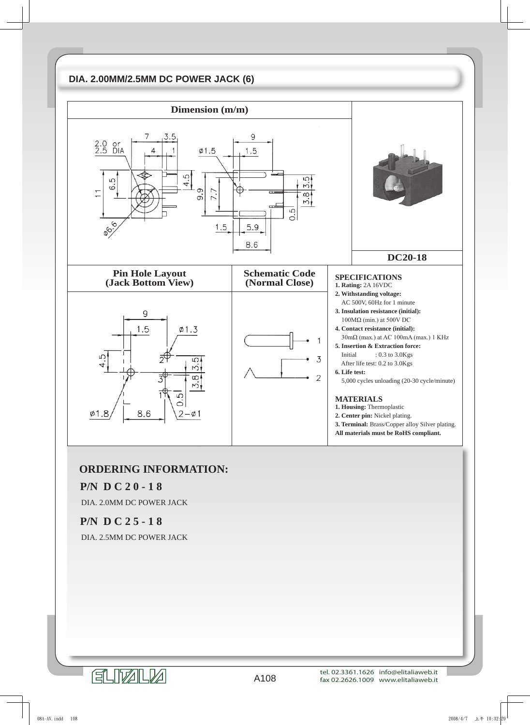# **DIA. 2.00MM/2.5MM DC POWER JACK (6)**



# **ORDERING INFORMATION:**

### **P/N D C 2 0 - 1 8**

DIA. 2.0MM DC POWER JACK

### **P/N D C 2 5 - 1 8**

DIA. 2.5MM DC POWER JACK